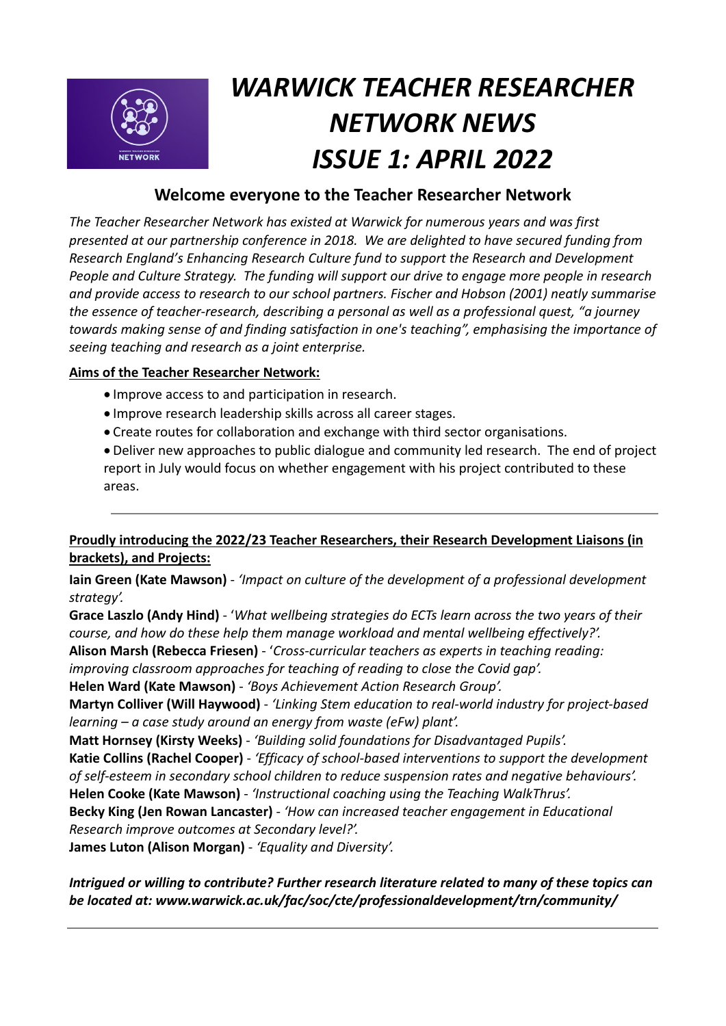

# *WARWICK TEACHER RESEARCHER NETWORK NEWS ISSUE 1: APRIL 2022*

## **Welcome everyone to the Teacher Researcher Network**

*The Teacher Researcher Network has existed at Warwick for numerous years and was first presented at our partnership conference in 2018. We are delighted to have secured funding from Research England's Enhancing Research Culture fund to support the Research and Development People and Culture Strategy. The funding will support our drive to engage more people in research and provide access to research to our school partners. Fischer and Hobson (2001) neatly summarise the essence of teacher-research, describing a personal as well as a professional quest, "a journey towards making sense of and finding satisfaction in one's teaching", emphasising the importance of seeing teaching and research as a joint enterprise.*

## **Aims of the Teacher Researcher Network:**

- Improve access to and participation in research.
- Improve research leadership skills across all career stages.
- Create routes for collaboration and exchange with third sector organisations.

• Deliver new approaches to public dialogue and community led research. The end of project report in July would focus on whether engagement with his project contributed to these areas.

## **Proudly introducing the 2022/23 Teacher Researchers, their Research Development Liaisons (in brackets), and Projects:**

**Iain Green (Kate Mawson)** - *'Impact on culture of the development of a professional development strategy'.*

**Grace Laszlo (Andy Hind)** - '*What wellbeing strategies do ECTs learn across the two years of their course, and how do these help them manage workload and mental wellbeing effectively?'.*

**Alison Marsh (Rebecca Friesen)** - '*Cross-curricular teachers as experts in teaching reading:* 

*improving classroom approaches for teaching of reading to close the Covid gap'.*

**Helen Ward (Kate Mawson)** - *'Boys Achievement Action Research Group'.*

**Martyn Colliver (Will Haywood)** - *'Linking Stem education to real-world industry for project-based learning – a case study around an energy from waste (eFw) plant'.*

**Matt Hornsey (Kirsty Weeks)** - *'Building solid foundations for Disadvantaged Pupils'.*

**Katie Collins (Rachel Cooper)** - *'Efficacy of school-based interventions to support the development of self-esteem in secondary school children to reduce suspension rates and negative behaviours'.* **Helen Cooke (Kate Mawson)** - *'Instructional coaching using the Teaching WalkThrus'.*

**Becky King (Jen Rowan Lancaster)** - *'How can increased teacher engagement in Educational Research improve outcomes at Secondary level?'.*

**James Luton (Alison Morgan)** - *'Equality and Diversity'.*

*Intrigued or willing to contribute? Further research literature related to many of these topics can be located at: www.warwick.ac.uk/fac/soc/cte/professionaldevelopment/trn/community/*